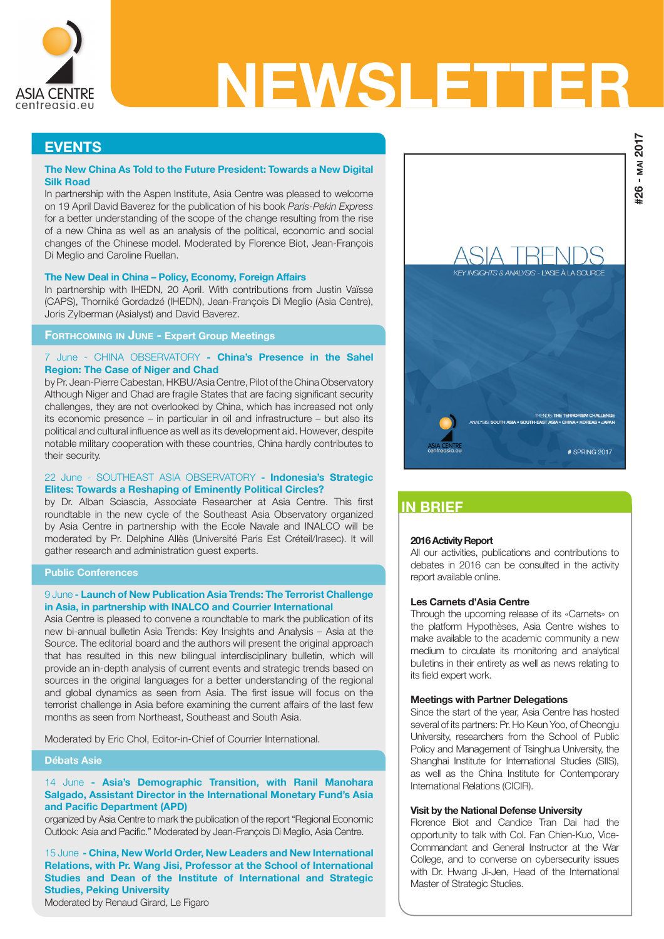

# NEWSLETTER

# **EVENTS**

# The New China As Told to the Future President: Towards a New Digital Silk Road

In partnership with the Aspen Institute, Asia Centre was pleased to welcome on 19 April David Baverez for the publication of his book Paris-Pekin Express for a better understanding of the scope of the change resulting from the rise of a new China as well as an analysis of the political, economic and social changes of the Chinese model. Moderated by Florence Biot, Jean-François Di Meglio and Caroline Ruellan.

#### The New Deal in China – Policy, Economy, Foreign Affairs

In partnership with IHEDN, 20 April. With contributions from Justin Vaïsse (CAPS), Thorniké Gordadzé (IHEDN), Jean-François Di Meglio (Asia Centre), Joris Zylberman (Asialyst) and David Baverez.

# Forthcoming in June - Expert Group Meetings

## 7 June - CHINA OBSERVATORY - China's Presence in the Sahel Region: The Case of Niger and Chad

by Pr. Jean-Pierre Cabestan, HKBU/Asia Centre, Pilot of the China Observatory Although Niger and Chad are fragile States that are facing significant security challenges, they are not overlooked by China, which has increased not only its economic presence – in particular in oil and infrastructure – but also its political and cultural influence as well as its development aid. However, despite notable military cooperation with these countries, China hardly contributes to their security.

## 22 June - SOUTHEAST ASIA OBSERVATORY - Indonesia's Strategic Elites: Towards a Reshaping of Eminently Political Circles?

by Dr. Alban Sciascia, Associate Researcher at Asia Centre. This first roundtable in the new cycle of the Southeast Asia Observatory organized by Asia Centre in partnership with the Ecole Navale and INALCO will be moderated by Pr. Delphine Allès (Université Paris Est Créteil/Irasec). It will gather research and administration guest experts.

#### Public Conferences

## 9 June - Launch of New Publication Asia Trends: The Terrorist Challenge in Asia, in partnership with INALCO and Courrier International

Asia Centre is pleased to convene a roundtable to mark the publication of its new bi-annual bulletin Asia Trends: Key Insights and Analysis – Asia at the Source. The editorial board and the authors will present the original approach that has resulted in this new bilingual interdisciplinary bulletin, which will provide an in-depth analysis of current events and strategic trends based on sources in the original languages for a better understanding of the regional and global dynamics as seen from Asia. The first issue will focus on the terrorist challenge in Asia before examining the current affairs of the last few months as seen from Northeast, Southeast and South Asia.

Moderated by Eric Chol, Editor-in-Chief of Courrier International.

#### Débats Asie

## 14 June - Asia's Demographic Transition, with Ranil Manohara Salgado, Assistant Director in the International Monetary Fund's Asia and Pacific Department (APD)

organized by Asia Centre to mark the publication of the report "Regional Economic Outlook: Asia and Pacific." Moderated by Jean-François Di Meglio, Asia Centre.

15 June - China, New World Order, New Leaders and New International Relations, with Pr. Wang Jisi, Professor at the School of International Studies and Dean of the Institute of International and Strategic Studies, Peking University

Moderated by Renaud Girard, Le Figaro



# IN BRIEF

#### 2016 Activity Report

All our activities, publications and contributions to debates in 2016 can be consulted in the activity report available online.

#### Les Carnets d'Asia Centre

Through the upcoming release of its «Carnets» on the platform Hypothèses, Asia Centre wishes to make available to the academic community a new medium to circulate its monitoring and analytical bulletins in their entirety as well as news relating to its field expert work.

#### Meetings with Partner Delegations

Since the start of the year, Asia Centre has hosted several of its partners: Pr. Ho Keun Yoo, of Cheongju University, researchers from the School of Public Policy and Management of Tsinghua University, the Shanghai Institute for International Studies (SIIS), as well as the China Institute for Contemporary International Relations (CICIR).

## Visit by the National Defense University

Florence Biot and Candice Tran Dai had the opportunity to talk with Col. Fan Chien-Kuo, Vice-Commandant and General Instructor at the War College, and to converse on cybersecurity issues with Dr. Hwang Ji-Jen, Head of the International Master of Strategic Studies.